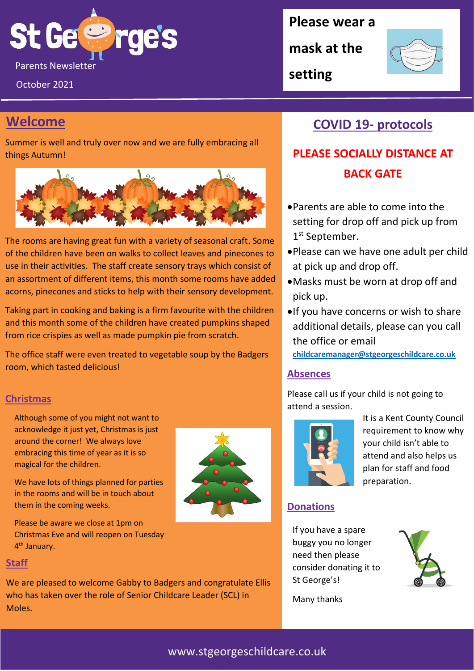

October 2021

## **Welcome**

Summer is well and truly over now and we are fully embracing all things Autumn!



The rooms are having great fun with a variety of seasonal craft. Some of the children have been on walks to collect leaves and pinecones to use in their activities. The staff create sensory trays which consist of an assortment of different items, this month some rooms have added acorns, pinecones and sticks to help with their sensory development.

Taking part in cooking and baking is a firm favourite with the children and this month some of the children have created pumpkins shaped from rice crispies as well as made pumpkin pie from scratch.

The office staff were even treated to vegetable soup by the Badgers room, which tasted delicious!

#### **Christmas**

Although some of you might not want to acknowledge it just yet, Christmas is just around the corner! We always love embracing this time of year as it is so magical for the children.

We have lots of things planned for parties in the rooms and will be in touch about them in the coming weeks.

Please be aware we close at 1pm on Christmas Eve and will reopen on Tuesday 4<sup>th</sup> January.

#### **Staff**

We are pleased to welcome Gabby to Badgers and congratulate Ellis who has taken over the role of Senior Childcare Leader (SCL) in Moles.

### **Please wear a**

**mask at the** 

**setting**



## **COVID 19- protocols**

## **PLEASE SOCIALLY DISTANCE AT BACK GATE**

- •Parents are able to come into the setting for drop off and pick up from 1<sup>st</sup> September.
- •Please can we have one adult per child at pick up and drop off.
- •Masks must be worn at drop off and pick up.
- •If you have concerns or wish to share additional details, please can you call the office or email **[childcaremanager@stgeorgeschildcare.co.uk](mailto:childcaremanager@stgeorgeschildcare.co.uk)**

#### **Absences**

Please call us if your child is not going to attend a session.



It is a Kent County Council requirement to know why your child isn't able to attend and also helps us plan for staff and food preparation.

#### **Donations**

If you have a spare buggy you no longer need then please consider donating it to St George's!



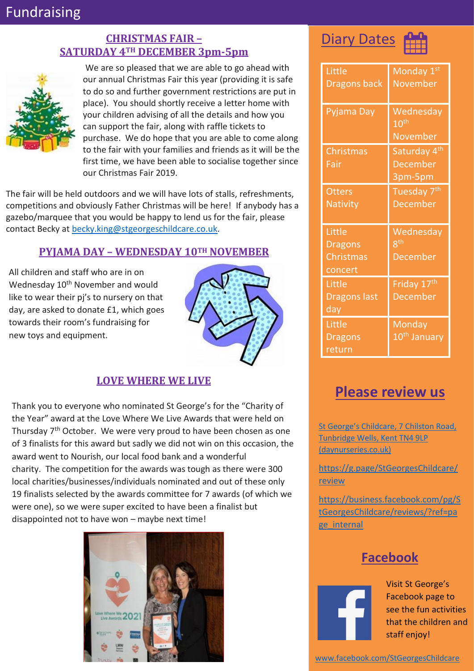## Fundraising

#### **CHRISTMAS FAIR – SATURDAY 4TH DECEMBER 3pm-5pm**



We are so pleased that we are able to go ahead with our annual Christmas Fair this year (providing it is safe to do so and further government restrictions are put in place). You should shortly receive a letter home with your children advising of all the details and how you can support the fair, along with raffle tickets to purchase. We do hope that you are able to come along to the fair with your families and friends as it will be the first time, we have been able to socialise together since our Christmas Fair 2019.

The fair will be held outdoors and we will have lots of stalls, refreshments, competitions and obviously Father Christmas will be here! If anybody has a gazebo/marquee that you would be happy to lend us for the fair, please contact Becky at [becky.king@stgeorgeschildcare.co.uk.](mailto:becky.king@stgeorgeschildcare.co.uk)

#### **PYJAMA DAY – WEDNESDAY 10TH NOVEMBER**

All children and staff who are in on Wednesday 10<sup>th</sup> November and would like to wear their pj's to nursery on that day, are asked to donate £1, which goes towards their room's fundraising for new toys and equipment.



#### **LOVE WHERE WE LIVE**

Thank you to everyone who nominated St George's for the "Charity of the Year" award at the Love Where We Live Awards that were held on Thursday 7<sup>th</sup> October. We were very proud to have been chosen as one of 3 finalists for this award but sadly we did not win on this occasion, the award went to Nourish, our local food bank and a wonderful charity. The competition for the awards was tough as there were 300 local charities/businesses/individuals nominated and out of these only 19 finalists selected by the awards committee for 7 awards (of which we were one), so we were super excited to have been a finalist but disappointed not to have won – maybe next time!





| Little<br><b>Dragons back</b> | Monday 1st<br><b>November</b> |
|-------------------------------|-------------------------------|
|                               |                               |
| Pyjama Day                    | Wednesday<br>10 <sup>th</sup> |
|                               | November                      |
| Christmas                     | Saturday 4 <sup>th</sup>      |
| Fair                          | <b>December</b>               |
|                               | 3pm-5pm                       |
| <b>Otters</b>                 | Tuesday 7 <sup>th</sup>       |
| <b>Nativity</b>               | <b>December</b>               |
|                               |                               |
| Little                        | Wednesday                     |
|                               |                               |
| <b>Dragons</b>                | R <sup>th</sup>               |
| Christmas                     | <b>December</b>               |
| concert                       |                               |
| Little                        | Friday 17 <sup>th</sup>       |
| <b>Dragons last</b>           | <b>December</b>               |
| day                           |                               |
| Little                        | Monday                        |
| <b>Dragons</b>                | 10 <sup>th</sup> January      |

## **Please review us**

[St George's Childcare, 7 Chilston](https://www.daynurseries.co.uk/daynursery.cfm/searchazref/50001050GEOA/rcsid/1001#submit-review-tab) Road, [Tunbridge Wells, Kent TN4 9LP](https://www.daynurseries.co.uk/daynursery.cfm/searchazref/50001050GEOA/rcsid/1001#submit-review-tab)  [\(daynurseries.co.uk\)](https://www.daynurseries.co.uk/daynursery.cfm/searchazref/50001050GEOA/rcsid/1001#submit-review-tab)

[https://g.page/StGeorgesChildcare/](https://g.page/StGeorgesChildcare/review) [review](https://g.page/StGeorgesChildcare/review)

[https://business.facebook.com/pg/S](https://business.facebook.com/pg/StGeorgesChildcare/reviews/?ref=page_internal) [tGeorgesChildcare/reviews/?ref=pa](https://business.facebook.com/pg/StGeorgesChildcare/reviews/?ref=page_internal) [ge\\_internal](https://business.facebook.com/pg/StGeorgesChildcare/reviews/?ref=page_internal)

### **Facebook**



Visit St George's Facebook page to see the fun activities that the children and staff enjoy!

[www.facebook.com/StGeorgesChildcare](http://www.facebook.com/StGeorgesChildcare)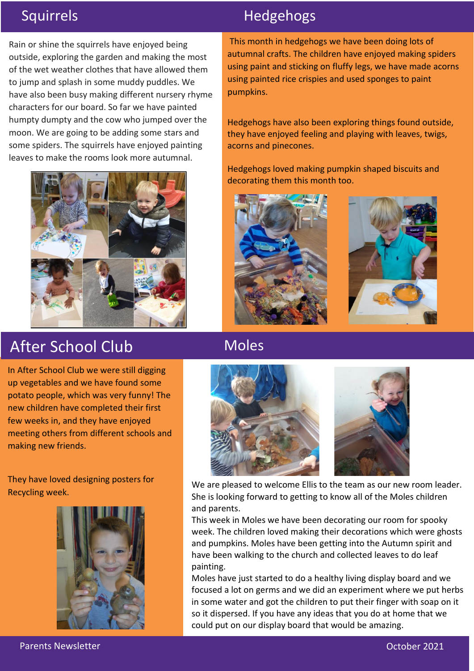Rain or shine the squirrels have enjoyed being outside, exploring the garden and making the most of the wet weather clothes that have allowed them to jump and splash in some muddy puddles. We have also been busy making different nursery rhyme characters for our board. So far we have painted humpty dumpty and the cow who jumped over the moon. We are going to be adding some stars and some spiders. The squirrels have enjoyed painting leaves to make the rooms look more autumnal.



# After School Club

In After School Club we were still digging up vegetables and we have found some potato people, which was very funny! The new children have completed their first few weeks in, and they have enjoyed meeting others from different schools and making new friends.

They have loved designing posters for Recycling week.



## Squirrels **Hedgehogs**

This month in hedgehogs we have been doing lots of autumnal crafts. The children have enjoyed making spiders using paint and sticking on fluffy legs, we have made acorns using painted rice crispies and used sponges to paint pumpkins.

Hedgehogs have also been exploring things found outside, they have enjoyed feeling and playing with leaves, twigs, acorns and pinecones.

Hedgehogs loved making pumpkin shaped biscuits and decorating them this month too.





**Moles** 



We are pleased to welcome Ellis to the team as our new room leader. She is looking forward to getting to know all of the Moles children and parents.

This week in Moles we have been decorating our room for spooky week. The children loved making their decorations which were ghosts and pumpkins. Moles have been getting into the Autumn spirit and have been walking to the church and collected leaves to do leaf painting.

Moles have just started to do a healthy living display board and we focused a lot on germs and we did an experiment where we put herbs in some water and got the children to put their finger with soap on it so it dispersed. If you have any ideas that you do at home that we could put on our display board that would be amazing.

Parents Newsletter October 2021